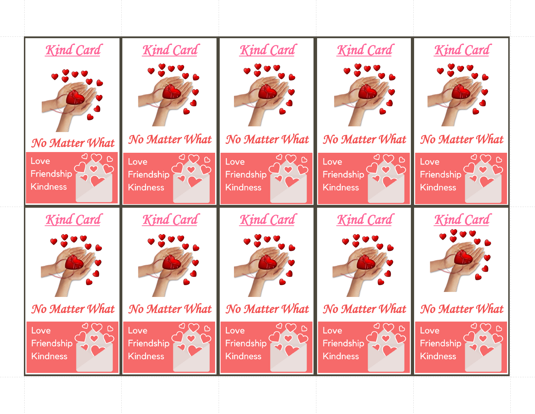